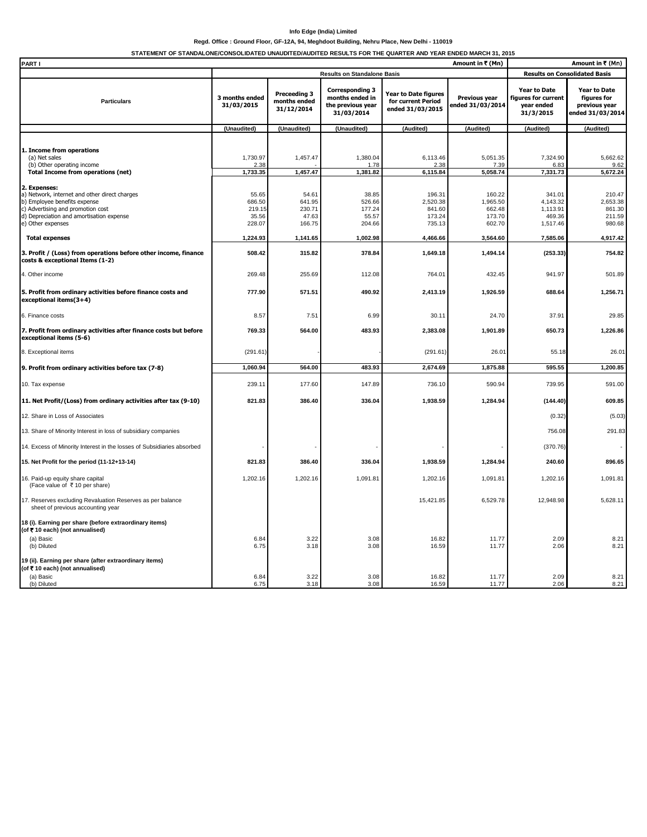## **Info Edge (India) Limited**

## **Regd. Office : Ground Floor, GF-12A, 94, Meghdoot Building, Nehru Place, New Delhi - 110019**

**STATEMENT OF STANDALONE/CONSOLIDATED UNAUDITED/AUDITED RESULTS FOR THE QUARTER AND YEAR ENDED MARCH 31, 2015**

| PART I<br>Amount in ₹ (Mn)                                                                                                                                                                          |                                              |                                              |                                                                              |                                                                |                                                  | Amount in ₹ (Mn)                                                      |                                                                         |
|-----------------------------------------------------------------------------------------------------------------------------------------------------------------------------------------------------|----------------------------------------------|----------------------------------------------|------------------------------------------------------------------------------|----------------------------------------------------------------|--------------------------------------------------|-----------------------------------------------------------------------|-------------------------------------------------------------------------|
|                                                                                                                                                                                                     | <b>Results on Standalone Basis</b>           |                                              |                                                                              |                                                                | <b>Results on Consolidated Basis</b>             |                                                                       |                                                                         |
| <b>Particulars</b>                                                                                                                                                                                  | 3 months ended<br>31/03/2015                 | Preceeding 3<br>months ended<br>31/12/2014   | <b>Corresponding 3</b><br>months ended in<br>the previous year<br>31/03/2014 | Year to Date figures<br>for current Period<br>ended 31/03/2015 | Previous year<br>ended 31/03/2014                | <b>Year to Date</b><br>figures for current<br>year ended<br>31/3/2015 | <b>Year to Date</b><br>figures for<br>previous year<br>ended 31/03/2014 |
|                                                                                                                                                                                                     | (Unaudited)                                  | (Unaudited)                                  | (Unaudited)                                                                  | (Audited)                                                      | (Audited)                                        | (Audited)                                                             | (Audited)                                                               |
| 1. Income from operations<br>(a) Net sales<br>(b) Other operating income<br><b>Total Income from operations (net)</b>                                                                               | 1,730.97<br>2.38<br>1,733.35                 | 1,457.47<br>1,457.47                         | 1,380.04<br>1.78<br>1,381.82                                                 | 6,113.46<br>2.38<br>6,115.84                                   | 5,051.35<br>7.39<br>5,058.74                     | 7,324.90<br>6.83<br>7,331.73                                          | 5,662.62<br>9.62<br>5,672.24                                            |
| 2. Expenses:<br>a) Network, internet and other direct charges<br>b) Employee benefits expense<br>c) Advertising and promotion cost<br>d) Depreciation and amortisation expense<br>e) Other expenses | 55.65<br>686.50<br>219.15<br>35.56<br>228.07 | 54.61<br>641.95<br>230.71<br>47.63<br>166.75 | 38.85<br>526.66<br>177.24<br>55.57<br>204.66                                 | 196.31<br>2,520.38<br>841.60<br>173.24<br>735.13               | 160.22<br>1,965.50<br>662.48<br>173.70<br>602.70 | 341.01<br>4,143.32<br>1,113.91<br>469.36<br>1,517.46                  | 210.47<br>2,653.38<br>861.30<br>211.59<br>980.68                        |
| <b>Total expenses</b>                                                                                                                                                                               | 1,224.93                                     | 1,141.65                                     | 1,002.98                                                                     | 4,466.66                                                       | 3,564.60                                         | 7,585.06                                                              | 4,917.42                                                                |
| 3. Profit / (Loss) from operations before other income, finance<br>costs & exceptional Items (1-2)                                                                                                  | 508.42                                       | 315.82                                       | 378.84                                                                       | 1,649.18                                                       | 1,494.14                                         | (253.33)                                                              | 754.82                                                                  |
| 4. Other income                                                                                                                                                                                     | 269.48                                       | 255.69                                       | 112.08                                                                       | 764.01                                                         | 432.45                                           | 941.97                                                                | 501.89                                                                  |
| 5. Profit from ordinary activities before finance costs and<br>exceptional items(3+4)                                                                                                               | 777.90                                       | 571.51                                       | 490.92                                                                       | 2,413.19                                                       | 1,926.59                                         | 688.64                                                                | 1,256.71                                                                |
| 6. Finance costs                                                                                                                                                                                    | 8.57                                         | 7.51                                         | 6.99                                                                         | 30.11                                                          | 24.70                                            | 37.91                                                                 | 29.85                                                                   |
| 7. Profit from ordinary activities after finance costs but before<br>exceptional items (5-6)                                                                                                        | 769.33                                       | 564.00                                       | 483.93                                                                       | 2,383.08                                                       | 1,901.89                                         | 650.73                                                                | 1,226.86                                                                |
| 8. Exceptional items                                                                                                                                                                                | (291.61)                                     |                                              |                                                                              | (291.61)                                                       | 26.01                                            | 55.18                                                                 | 26.01                                                                   |
| 9. Profit from ordinary activities before tax (7-8)                                                                                                                                                 | 1,060.94                                     | 564.00                                       | 483.93                                                                       | 2,674.69                                                       | 1,875.88                                         | 595.55                                                                | 1,200.85                                                                |
| 10. Tax expense                                                                                                                                                                                     | 239.11                                       | 177.60                                       | 147.89                                                                       | 736.10                                                         | 590.94                                           | 739.95                                                                | 591.00                                                                  |
| 11. Net Profit/(Loss) from ordinary activities after tax (9-10)                                                                                                                                     | 821.83                                       | 386.40                                       | 336.04                                                                       | 1,938.59                                                       | 1,284.94                                         | (144.40)                                                              | 609.85                                                                  |
| 12. Share in Loss of Associates                                                                                                                                                                     |                                              |                                              |                                                                              |                                                                |                                                  | (0.32)                                                                | (5.03)                                                                  |
| 13. Share of Minority Interest in loss of subsidiary companies                                                                                                                                      |                                              |                                              |                                                                              |                                                                |                                                  | 756.08                                                                | 291.83                                                                  |
| 14. Excess of Minority Interest in the losses of Subsidiaries absorbed                                                                                                                              |                                              |                                              |                                                                              |                                                                |                                                  | (370.76)                                                              |                                                                         |
| 15. Net Profit for the period (11-12+13-14)                                                                                                                                                         | 821.83                                       | 386.40                                       | 336.04                                                                       | 1,938.59                                                       | 1,284.94                                         | 240.60                                                                | 896.65                                                                  |
| 16. Paid-up equity share capital<br>(Face value of ₹10 per share)                                                                                                                                   | 1,202.16                                     | 1,202.16                                     | 1,091.81                                                                     | 1,202.16                                                       | 1,091.81                                         | 1,202.16                                                              | 1,091.81                                                                |
| 17. Reserves excluding Revaluation Reserves as per balance<br>sheet of previous accounting year                                                                                                     |                                              |                                              |                                                                              | 15,421.85                                                      | 6,529.78                                         | 12,948.98                                                             | 5,628.11                                                                |
| 18 (i). Earning per share (before extraordinary items)<br>(of ₹10 each) (not annualised)                                                                                                            |                                              |                                              |                                                                              |                                                                |                                                  |                                                                       |                                                                         |
| (a) Basic<br>(b) Diluted                                                                                                                                                                            | 6.84<br>6.75                                 | 3.22<br>3.18                                 | 3.08<br>3.08                                                                 | 16.82<br>16.59                                                 | 11.77<br>11.77                                   | 2.09<br>2.06                                                          | 8.21<br>8.21                                                            |
| 19 (ii). Earning per share (after extraordinary items)<br>(of ₹10 each) (not annualised)<br>(a) Basic                                                                                               | 6.84                                         | 3.22                                         | 3.08                                                                         | 16.82                                                          | 11.77                                            | 2.09                                                                  | 8.21                                                                    |
| (b) Diluted                                                                                                                                                                                         | 6.75                                         | 3.18                                         | 3.08                                                                         | 16.59                                                          | 11.77                                            | 2.06                                                                  | 8.21                                                                    |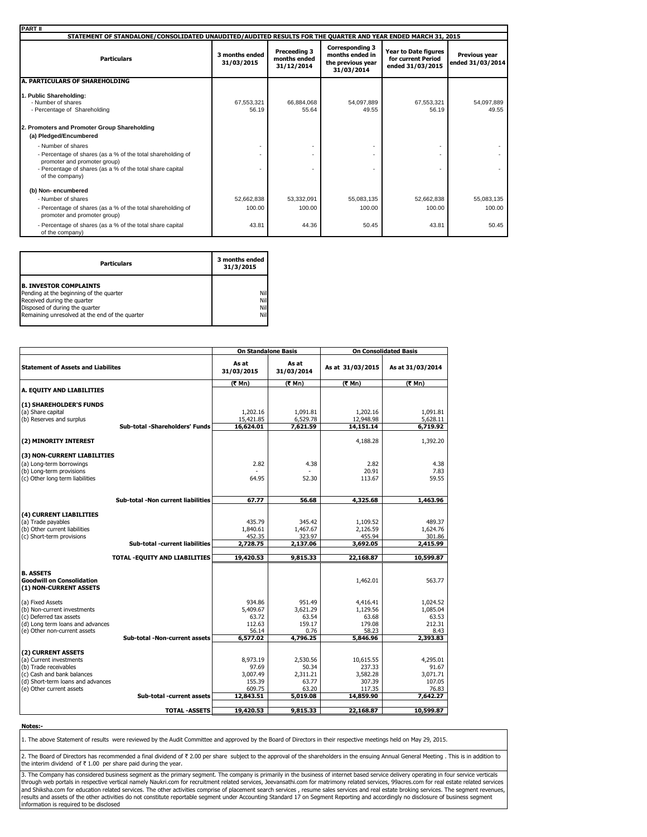| <b>PART II</b>                                                                                                                                                                                    |                              |                                            |                                                                              |                                                                       |                                   |
|---------------------------------------------------------------------------------------------------------------------------------------------------------------------------------------------------|------------------------------|--------------------------------------------|------------------------------------------------------------------------------|-----------------------------------------------------------------------|-----------------------------------|
| STATEMENT OF STANDALONE/CONSOLIDATED UNAUDITED/AUDITED RESULTS FOR THE QUARTER AND YEAR ENDED MARCH 31, 2015                                                                                      |                              |                                            |                                                                              |                                                                       |                                   |
| <b>Particulars</b>                                                                                                                                                                                | 3 months ended<br>31/03/2015 | Preceeding 3<br>months ended<br>31/12/2014 | <b>Corresponding 3</b><br>months ended in<br>the previous year<br>31/03/2014 | <b>Year to Date figures</b><br>for current Period<br>ended 31/03/2015 | Previous year<br>ended 31/03/2014 |
| A. PARTICULARS OF SHAREHOLDING                                                                                                                                                                    |                              |                                            |                                                                              |                                                                       |                                   |
| 1. Public Shareholding:<br>- Number of shares<br>- Percentage of Shareholding                                                                                                                     | 67.553.321<br>56.19          | 66,884,068<br>55.64                        | 54,097,889<br>49.55                                                          | 67,553,321<br>56.19                                                   | 54,097,889<br>49.55               |
| 2. Promoters and Promoter Group Shareholding<br>(a) Pledged/Encumbered                                                                                                                            |                              |                                            |                                                                              |                                                                       |                                   |
| - Number of shares<br>- Percentage of shares (as a % of the total shareholding of<br>promoter and promoter group)<br>- Percentage of shares (as a % of the total share capital<br>of the company) |                              |                                            |                                                                              |                                                                       |                                   |
| (b) Non-encumbered<br>- Number of shares                                                                                                                                                          | 52,662,838                   | 53,332,091                                 | 55,083,135                                                                   | 52,662,838                                                            | 55,083,135                        |
| - Percentage of shares (as a % of the total shareholding of<br>promoter and promoter group)                                                                                                       | 100.00                       | 100.00                                     | 100.00                                                                       | 100.00                                                                | 100.00                            |
| - Percentage of shares (as a % of the total share capital<br>of the company)                                                                                                                      | 43.81                        | 44.36                                      | 50.45                                                                        | 43.81                                                                 | 50.45                             |

| <b>Particulars</b>                                                                                                                                                                          | 3 months ended<br>31/3/2015 |
|---------------------------------------------------------------------------------------------------------------------------------------------------------------------------------------------|-----------------------------|
| <b>B. INVESTOR COMPLAINTS</b><br>Pending at the beginning of the quarter<br>Received during the quarter<br>Disposed of during the quarter<br>Remaining unresolved at the end of the quarter | Nil<br>Nil<br>Nil<br>Nil    |

|                                           |                                    | <b>On Standalone Basis</b> |                     | <b>On Consolidated Basis</b> |                   |  |
|-------------------------------------------|------------------------------------|----------------------------|---------------------|------------------------------|-------------------|--|
| <b>Statement of Assets and Liabilites</b> |                                    | As at<br>31/03/2015        | As at<br>31/03/2014 | As at 31/03/2015             | As at 31/03/2014  |  |
|                                           |                                    | (₹ Mn)                     | (₹ Mn)              | (そ Mn)                       | (₹ Mn)            |  |
| A. EQUITY AND LIABILITIES                 |                                    |                            |                     |                              |                   |  |
| (1) SHAREHOLDER'S FUNDS                   |                                    |                            |                     |                              |                   |  |
| (a) Share capital                         |                                    | 1,202.16                   | 1,091.81            | 1,202.16                     | 1,091.81          |  |
| (b) Reserves and surplus                  |                                    | 15,421.85                  | 6,529.78            | 12,948.98                    | 5,628.11          |  |
|                                           | Sub-total -Shareholders' Funds     | 16,624.01                  | 7,621.59            | 14,151.14                    | 6,719.92          |  |
|                                           |                                    |                            |                     |                              |                   |  |
| (2) MINORITY INTEREST                     |                                    |                            |                     | 4.188.28                     | 1,392.20          |  |
| (3) NON-CURRENT LIABILITIES               |                                    |                            |                     |                              |                   |  |
| (a) Long-term borrowings                  |                                    | 2.82                       | 4.38                | 2.82                         | 4.38              |  |
| (b) Long-term provisions                  |                                    |                            |                     | 20.91                        | 7.83              |  |
| (c) Other long term liabilities           |                                    | 64.95                      | 52.30               | 113.67                       | 59.55             |  |
|                                           |                                    |                            |                     |                              |                   |  |
|                                           |                                    |                            |                     |                              |                   |  |
|                                           | Sub-total -Non current liabilities | 67.77                      | 56.68               | 4,325.68                     | 1,463.96          |  |
| (4) CURRENT LIABILITIES                   |                                    |                            |                     |                              |                   |  |
| (a) Trade payables                        |                                    | 435.79                     | 345.42              | 1,109.52                     | 489.37            |  |
| (b) Other current liabilities             |                                    | 1.840.61                   | 1.467.67            | 2,126.59                     | 1.624.76          |  |
| (c) Short-term provisions                 |                                    | 452.35                     | 323.97              | 455.94                       | 301.86            |  |
|                                           | Sub-total -current liabilities     | 2,728.75                   | 2,137.06            | 3,692.05                     | 2,415.99          |  |
|                                           | TOTAL - EQUITY AND LIABILITIES     | 19,420.53                  | 9,815.33            | 22,168.87                    | 10,599.87         |  |
|                                           |                                    |                            |                     |                              |                   |  |
| <b>B. ASSETS</b>                          |                                    |                            |                     |                              |                   |  |
| <b>Goodwill on Consolidation</b>          |                                    |                            |                     | 1,462.01                     | 563.77            |  |
| (1) NON-CURRENT ASSETS                    |                                    |                            |                     |                              |                   |  |
| (a) Fixed Assets                          |                                    | 934.86                     | 951.49              | 4,416.41                     | 1,024.52          |  |
| (b) Non-current investments               |                                    | 5,409.67                   | 3,621.29            | 1,129.56                     | 1,085.04          |  |
| (c) Deferred tax assets                   |                                    | 63.72                      | 63.54               | 63.68                        | 63.53             |  |
| (d) Long term loans and advances          |                                    | 112.63                     | 159.17              | 179.08                       | 212.31            |  |
| (e) Other non-current assets              |                                    | 56.14                      | 0.76                | 58.23                        | 8.43              |  |
|                                           | Sub-total -Non-current assets      | 6,577.02                   | 4,796.25            | 5,846,96                     | 2,393.83          |  |
| (2) CURRENT ASSETS                        |                                    |                            |                     |                              |                   |  |
| (a) Current investments                   |                                    | 8,973.19                   | 2.530.56            | 10,615.55                    | 4,295.01          |  |
| (b) Trade receivables                     |                                    | 97.69                      | 50.34               | 237.33                       | 91.67             |  |
| (c) Cash and bank balances                |                                    | 3,007.49                   | 2,311.21            | 3,582.28                     | 3,071.71          |  |
| (d) Short-term loans and advances         |                                    | 155.39                     | 63.77               | 307.39                       | 107.05            |  |
| (e) Other current assets                  | Sub-total -current assets          | 609.75<br>12,843.51        | 63.20<br>5,019.08   | 117.35<br>14,859.90          | 76.83<br>7,642.27 |  |
|                                           |                                    |                            |                     |                              |                   |  |
|                                           | <b>TOTAL -ASSETS</b>               | 19,420.53                  | 9,815.33            | 22,168.87                    | 10,599.87         |  |

**Notes:-**

1. The above Statement of results were reviewed by the Audit Committee and approved by the Board of Directors in their respective meetings held on May 29, 2015.

2. The Board of Directors has recommended a final dividend of ₹ 2.00 per share subject to the approval of the shareholders in the ensuing Annual General Meeting . This is in addition to the interim dividend of  $\bar{\tau}$  1.00 per share paid during the year.

3. The Company has considered business segment as the primary segment. The company is primarily in the business of internet based service delivery operating in four service verticals<br>through web portals in respective verti information is required to be disclosed